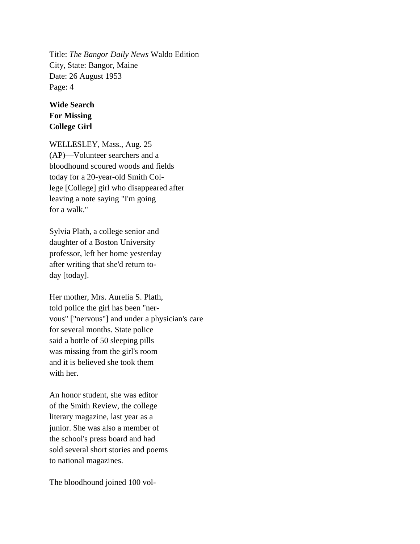Title: *The Bangor Daily News* Waldo Edition City, State: Bangor, Maine Date: 26 August 1953 Page: 4

## **Wide Search For Missing College Girl**

WELLESLEY, Mass., Aug. 25 (AP)—Volunteer searchers and a bloodhound scoured woods and fields today for a 20-year-old Smith College [College] girl who disappeared after leaving a note saying "I'm going for a walk."

Sylvia Plath, a college senior and daughter of a Boston University professor, left her home yesterday after writing that she'd return today [today].

Her mother, Mrs. Aurelia S. Plath, told police the girl has been "nervous" ["nervous"] and under a physician's care for several months. State police said a bottle of 50 sleeping pills was missing from the girl's room and it is believed she took them with her.

An honor student, she was editor of the Smith Review, the college literary magazine, last year as a junior. She was also a member of the school's press board and had sold several short stories and poems to national magazines.

The bloodhound joined 100 vol-